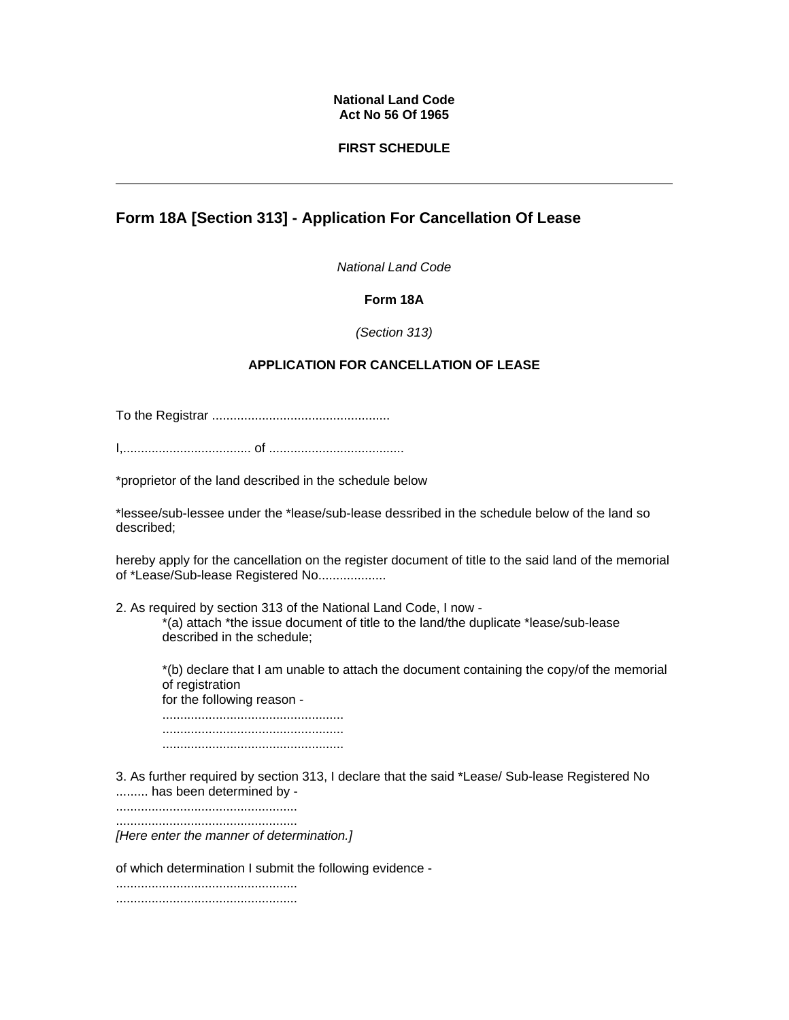#### **National Land Code Act No 56 Of 1965**

### **FIRST SCHEDULE**

# **Form 18A [Section 313] - Application For Cancellation Of Lease**

*National Land Code*

## **Form 18A**

#### *(Section 313)*

## **APPLICATION FOR CANCELLATION OF LEASE**

To the Registrar ..................................................

I,.................................... of ......................................

\*proprietor of the land described in the schedule below

\*lessee/sub-lessee under the \*lease/sub-lease dessribed in the schedule below of the land so described;

hereby apply for the cancellation on the register document of title to the said land of the memorial of \*Lease/Sub-lease Registered No..................

2. As required by section 313 of the National Land Code, I now -

\*(a) attach \*the issue document of title to the land/the duplicate \*lease/sub-lease described in the schedule;

\*(b) declare that I am unable to attach the document containing the copy/of the memorial of registration for the following reason -

................................................... ................................................... ...................................................

3. As further required by section 313, I declare that the said \*Lease/ Sub-lease Registered No ......... has been determined by -

................................................... ...................................................

*[Here enter the manner of determination.]*

of which determination I submit the following evidence -

................................................... ...................................................